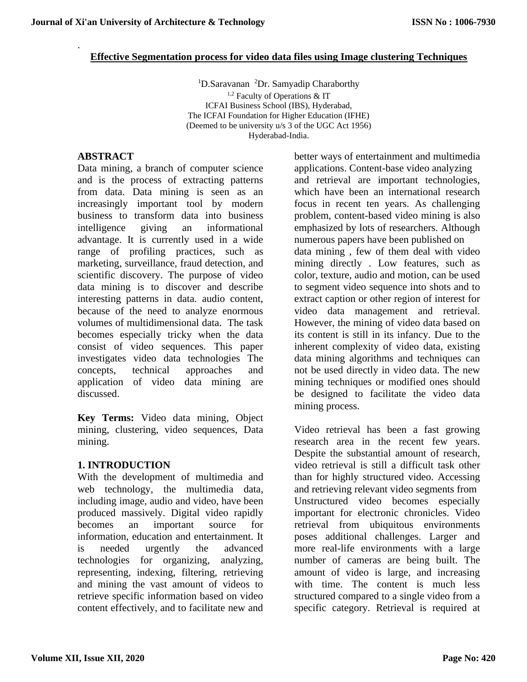# **Effective Segmentation process for video data files using Image clustering Techniques**

<sup>1</sup>D.Saravanan <sup>2</sup>Dr. Samyadip Charaborthy  $1,2$  Faculty of Operations & IT ICFAI Business School (IBS), Hyderabad, The ICFAI Foundation for Higher Education (IFHE) (Deemed to be university u/s 3 of the UGC Act 1956) Hyderabad-India.

# **ABSTRACT**

.

Data mining, a branch of [computer science](http://en.wikipedia.org/wiki/Computer_science)  and is the process of extracting patterns from [data.](http://en.wikipedia.org/wiki/Data) Data mining is seen as an increasingly important tool by modern business to transform data into [business](http://en.wikipedia.org/wiki/Business_intelligence)  [intelligence](http://en.wikipedia.org/wiki/Business_intelligence) giving an informational advantage. It is currently used in a wide range of [profiling practices,](http://en.wikipedia.org/wiki/Profiling_practices) such as [marketing,](http://en.wikipedia.org/wiki/Marketing) [surveillance,](http://en.wikipedia.org/wiki/Surveillance) [fraud](http://en.wikipedia.org/wiki/Fraud) detection, and scientific discovery. The purpose of video data mining is to discover and describe interesting patterns in data. audio content, because of the need to analyze enormous volumes of multidimensional data. The task becomes especially tricky when the data consist of video sequences. This paper investigates video data technologies The concepts, technical approaches and application of video data mining are discussed.

**Key Terms:** Video data mining, Object mining, clustering, video sequences, Data mining.

# **1. INTRODUCTION**

With the development of multimedia and web technology, the multimedia data, including image, audio and video, have been produced massively. Digital video rapidly becomes an important source for information, education and entertainment. It is needed urgently the advanced technologies for organizing, analyzing, representing, indexing, filtering, retrieving and mining the vast amount of videos to retrieve specific information based on video content effectively, and to facilitate new and

better ways of entertainment and multimedia applications. Content-base video analyzing and retrieval are important technologies, which have been an international research focus in recent ten years. As challenging problem, content-based video mining is also emphasized by lots of researchers. Although numerous papers have been published on data mining , few of them deal with video mining directly . Low features, such as color, texture, audio and motion, can be used to segment video sequence into shots and to extract caption or other region of interest for video data management and retrieval. However, the mining of video data based on its content is still in its infancy. Due to the inherent complexity of video data, existing data mining algorithms and techniques can not be used directly in video data. The new mining techniques or modified ones should be designed to facilitate the video data mining process.

Video retrieval has been a fast growing research area in the recent few years. Despite the substantial amount of research, video retrieval is still a difficult task other than for highly structured video. Accessing and retrieving relevant video segments from Unstructured video becomes especially important for electronic chronicles. Video retrieval from ubiquitous environments poses additional challenges. Larger and more real-life environments with a large number of cameras are being built. The amount of video is large, and increasing with time. The content is much less structured compared to a single video from a specific category. Retrieval is required at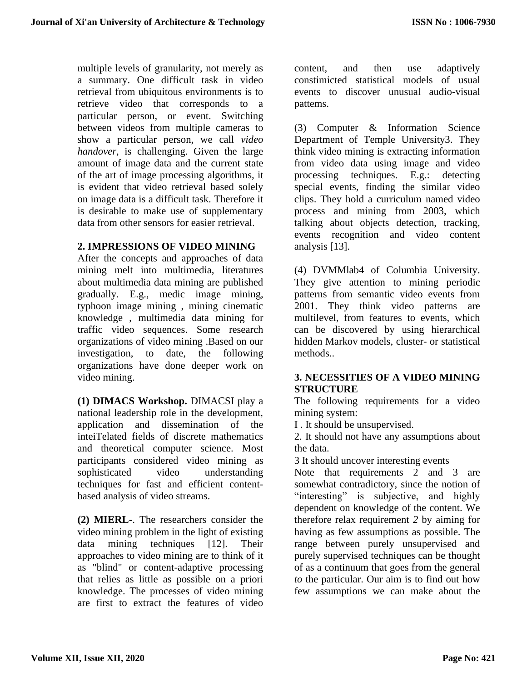multiple levels of granularity, not merely as a summary. One difficult task in video retrieval from ubiquitous environments is to retrieve video that corresponds to a particular person, or event. Switching between videos from multiple cameras to show a particular person, we call *video handover*, is challenging. Given the large amount of image data and the current state of the art of image processing algorithms, it is evident that video retrieval based solely on image data is a difficult task. Therefore it is desirable to make use of supplementary data from other sensors for easier retrieval.

### **2. IMPRESSIONS OF VIDEO MINING**

After the concepts and approaches of data mining melt into multimedia, literatures about multimedia data mining are published gradually. E.g., medic image mining, typhoon image mining , mining cinematic knowledge , multimedia data mining for traffic video sequences. Some research organizations of video mining .Based on our investigation, to date, the following organizations have done deeper work on video mining.

**(1) DIMACS Workshop.** DIMACSI play a national leadership role in the development, application and dissemination of the inteiTelated fields of discrete mathematics and theoretical computer science. Most participants considered video mining as sophisticated video understanding techniques for fast and efficient contentbased analysis of video streams.

**(2) MIERL-**. The researchers consider the video mining problem in the light of existing data mining techniques [12]. Their approaches to video mining are to think of it as "blind" or content-adaptive processing that relies as little as possible on a priori knowledge. The processes of video mining are first to extract the features of video

content, and then use adaptively constimicted statistical models of usual events to discover unusual audio-visual pattems.

(3) Computer & Information Science Department of Temple University3. They think video mining is extracting information from video data using image and video processing techniques. E.g.: detecting special events, finding the similar video clips. They hold a curriculum named video process and mining from 2003, which talking about objects detection, tracking, events recognition and video content analysis [13].

(4) DVMMlab4 of Columbia University. They give attention to mining periodic patterns from semantic video events from 2001. They think video patterns are multilevel, from features to events, which can be discovered by using hierarchical hidden Markov models, cluster- or statistical methods..

## **3. NECESSITIES OF A VIDEO MINING STRUCTURE**

The following requirements for a video mining system:

I . It should be unsupervised.

2. It should not have any assumptions about the data.

3 It should uncover interesting events

Note that requirements 2 and 3 are somewhat contradictory, since the notion of "interesting" is subjective, and highly dependent on knowledge of the content. We therefore relax requirement *2* by aiming for having as few assumptions as possible. The range between purely unsupervised and purely supervised techniques can be thought of as a continuum that goes from the general *to* the particular. Our aim is to find out how few assumptions we can make about the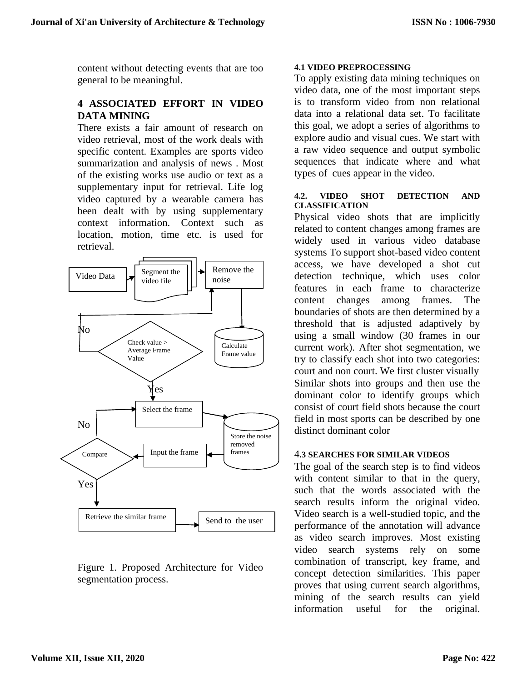content without detecting events that are too general to be meaningful.

### **4 ASSOCIATED EFFORT IN VIDEO DATA MINING**

There exists a fair amount of research on video retrieval, most of the work deals with specific content. Examples are sports video summarization and analysis of news . Most of the existing works use audio or text as a supplementary input for retrieval. Life log video captured by a wearable camera has been dealt with by using supplementary context information. Context such as location, motion, time etc. is used for retrieval.



Figure 1. Proposed Architecture for Video segmentation process.

#### **4.1 VIDEO PREPROCESSING**

To apply existing data mining techniques on video data, one of the most important steps is to transform video from non relational data into a relational data set. To facilitate this goal, we adopt a series of algorithms to explore audio and visual cues. We start with a raw video sequence and output symbolic sequences that indicate where and what types of cues appear in the video.

#### **4.2. VIDEO SHOT DETECTION AND CLASSIFICATION**

Physical video shots that are implicitly related to content changes among frames are widely used in various video database systems To support shot-based video content access, we have developed a shot cut detection technique, which uses color features in each frame to characterize content changes among frames. The boundaries of shots are then determined by a threshold that is adjusted adaptively by using a small window (30 frames in our current work). After shot segmentation, we try to classify each shot into two categories: court and non court. We first cluster visually Similar shots into groups and then use the dominant color to identify groups which consist of court field shots because the court field in most sports can be described by one distinct dominant color

### 4**.3 SEARCHES FOR SIMILAR VIDEOS**

The goal of the search step is to find videos with content similar to that in the query, such that the words associated with the search results inform the original video. Video search is a well-studied topic, and the performance of the annotation will advance as video search improves. Most existing video search systems rely on some combination of transcript, key frame, and concept detection similarities. This paper proves that using current search algorithms, mining of the search results can yield information useful for the original.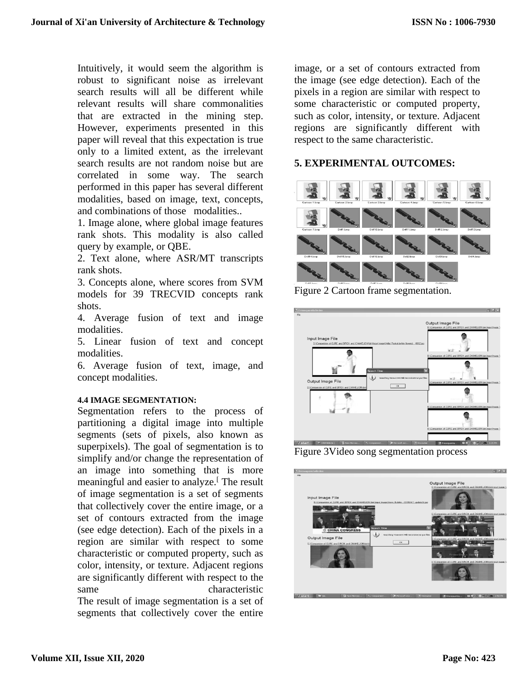Intuitively, it would seem the algorithm is robust to significant noise as irrelevant search results will all be different while relevant results will share commonalities that are extracted in the mining step. However, experiments presented in this paper will reveal that this expectation is true only to a limited extent, as the irrelevant search results are not random noise but are correlated in some way. The search performed in this paper has several different modalities, based on image, text, concepts, and combinations of those modalities..

1. Image alone, where global image features rank shots. This modality is also called query by example, or QBE.

2. Text alone, where ASR/MT transcripts rank shots.

3. Concepts alone, where scores from SVM models for 39 TRECVID concepts rank shots.

4. Average fusion of text and image modalities.

5. Linear fusion of text and concept modalities.

6. Average fusion of text, image, and concept modalities.

### **4.4 IMAGE SEGMENTATION:**

Segmentation refers to the process of partitioning a [digital image](http://en.wikipedia.org/wiki/Digital_image) into multiple [segments](http://en.wikipedia.org/wiki/Image_segment) [\(sets](http://en.wikipedia.org/wiki/Set_(mathematics)) of [pixels,](http://en.wikipedia.org/wiki/Pixel) also known as superpixels). The goal of segmentation is to simplify and/or change the representation of an image into something that is more meaningful and easier to analyze[.](http://en.wikipedia.org/wiki/Image_segmentation#cite_note-computervision-0#cite_note-computervision-0)<sup>[</sup> The result of image segmentation is a set of segments that collectively cover the entire image, or a set of [contours](http://en.wikipedia.org/wiki/Contour_line) extracted from the image (see [edge detection\)](http://en.wikipedia.org/wiki/Edge_detection). Each of the pixels in a region are similar with respect to some characteristic or computed property, such as [color,](http://en.wikipedia.org/wiki/Color) [intensity,](http://en.wikipedia.org/wiki/Luminous_intensity) or [texture.](http://en.wikipedia.org/wiki/Image_texture) [Adjacent](http://en.wikipedia.org/wiki/Adjacent) regions are significantly different with respect to the same characteristic The result of image segmentation is a set of segments that collectively cover the entire

image, or a set of [contours](http://en.wikipedia.org/wiki/Contour_line) extracted from the image (see [edge detection\)](http://en.wikipedia.org/wiki/Edge_detection). Each of the pixels in a region are similar with respect to some characteristic or computed property, such as [color,](http://en.wikipedia.org/wiki/Color) [intensity,](http://en.wikipedia.org/wiki/Luminous_intensity) or [texture.](http://en.wikipedia.org/wiki/Image_texture) [Adjacent](http://en.wikipedia.org/wiki/Adjacent) regions are significantly different with respect to the same characteristic.

### **5. EXPERIMENTAL OUTCOMES:**



Figure 2 Cartoon frame segmentation.



Figure 3Video song segmentation process

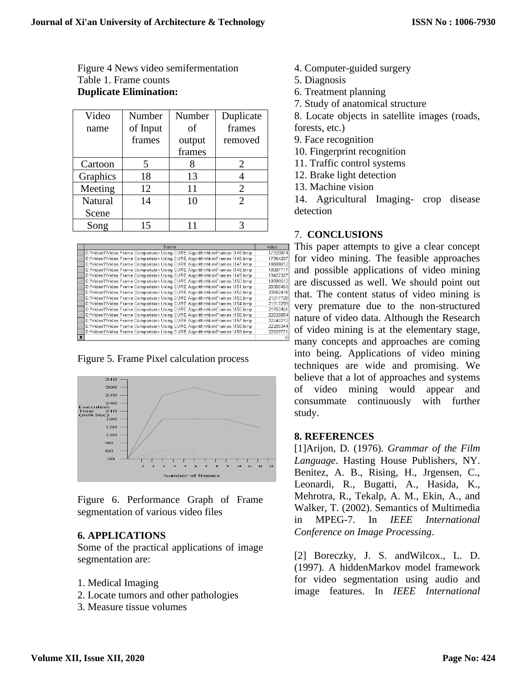Figure 4 News video semifermentation Table 1. Frame counts **Duplicate Elimination:** 

| Video    | Number   | Number | Duplicate      |
|----------|----------|--------|----------------|
| name     | of Input | of     | frames         |
|          | frames   | output | removed        |
|          |          | frames |                |
| Cartoon  | 5        |        | 2              |
| Graphics | 18       | 13     | 4              |
| Meeting  | 12       | 11     | $\overline{2}$ |
| Natural  | 14       | 10     | $\mathfrak{D}$ |
| Scene    |          |        |                |
| Song     | 15       | 11     |                |

| fname                                                                      | value    |
|----------------------------------------------------------------------------|----------|
| D:\Video1\Video Frame Comparision Using CURE Algorithm\bin\Frames \145.bmp | 17320874 |
| D:Wideo1Wideo Frame Comparision Using CURE Algorithm\bin\Frames \146.bmp   | 17964267 |
| D: Wideo1 Wideo Frame Comparision Using CURE Algorithm\bin\Frames \147.bmp | 18608012 |
| D:Wideo1Wideo Frame Comparision Using CURE Algorithm\bin\Frames \148.bmp   | 19007717 |
| D: Wideo1 Wideo Frame Comparision Using CURE Algorithm\bin\Frames \149.bmp | 19422327 |
| D:Wideo1Wideo Frame Comparision Using CURE Algorithm\bin\Frames \150.bmp   | 19898512 |
| D: Wideo1 Wideo Frame Comparision Using CURE Algorithm\bin\Frames \151.bmp | 20300463 |
| D:\Video1\Video Frame Comparision Using CURE Algorithm\bin\Frames \152.bmp | 20552418 |
| D:\Video1\Video Frame Comparision Using CURE Algorithm\bin\Frames \153.bmp | 21017728 |
| D:Wideo1Wideo Frame Comparision Using CURE Algorithm\bin\Frames \154.bmp   | 21313259 |
| D: Wideo1 Wideo Frame Comparision Using CURE Algorithm\bin\Frames \155.bmp | 21753461 |
| D:\Video1\Video Frame Comparision Using CURE Algorithm\bin\Frames \156.bmp | 22026854 |
| D: Wideo1 Wideo Frame Comparision Using CURE Algorithm\bin\Frames \157.bmp | 22240212 |
| D:\Video1\Video Frame Comparision Using CURE Algorithm\bin\Frames \158.bmp | 22205344 |
| D:Wideo1Wideo Frame Comparision Using CURE Algorithm\bin\Frames \159.bmp   | 22329771 |
|                                                                            | n        |

Figure 5. Frame Pixel calculation process



Figure 6. Performance Graph of Frame segmentation of various video files

### **6. APPLICATIONS**

Some of the practical applications of image segmentation are:

- 1. [Medical Imaging](http://en.wikipedia.org/wiki/Medical_Imaging)
- 2. Locate tumors and other pathologies
- 3. Measure tissue volumes
- 4. Computer-guided surgery
- 5. Diagnosis
- 6. Treatment planning
- 7. Study of anatomical structure
- 8. Locate objects in satellite images (roads, forests, etc.)
- 9. [Face recognition](http://en.wikipedia.org/wiki/Face_recognition)

10. [Fingerprint recognition](http://en.wikipedia.org/wiki/Fingerprint_recognition)

11. [Traffic control systems](http://en.wikipedia.org/w/index.php?title=Traffic_control_systems&action=edit&redlink=1)

12. [Brake light detection](http://en.wikipedia.org/w/index.php?title=Brake_light_detection&action=edit&redlink=1)

13. [Machine vision](http://en.wikipedia.org/wiki/Machine_vision)

14. [Agricultural Imaging-](http://en.wikipedia.org/w/index.php?title=Agricultural_Imaging-_crop_disease_detection&action=edit&redlink=1) crop disease [detection](http://en.wikipedia.org/w/index.php?title=Agricultural_Imaging-_crop_disease_detection&action=edit&redlink=1)

## 7. **CONCLUSIONS**

This paper attempts to give a clear concept for video mining. The feasible approaches and possible applications of video mining are discussed as well. We should point out that. The content status of video mining is very premature due to the non-structured nature of video data. Although the Research of video mining is at the elementary stage, many concepts and approaches are coming into being. Applications of video mining techniques are wide and promising. We believe that a lot of approaches and systems of video mining would appear and consummate continuously with further study.

### **8. REFERENCES**

[1]Arijon, D. (1976). *Grammar of the Film Language*. Hasting House Publishers, NY. Benitez, A. B., Rising, H., Jrgensen, C., Leonardi, R., Bugatti, A., Hasida, K., Mehrotra, R., Tekalp, A. M., Ekin, A., and Walker, T. (2002). Semantics of Multimedia in MPEG-7. In *IEEE International Conference on Image Processing*.

[2] Boreczky, J. S. andWilcox., L. D. (1997). A hiddenMarkov model framework for video segmentation using audio and image features. In *IEEE International*